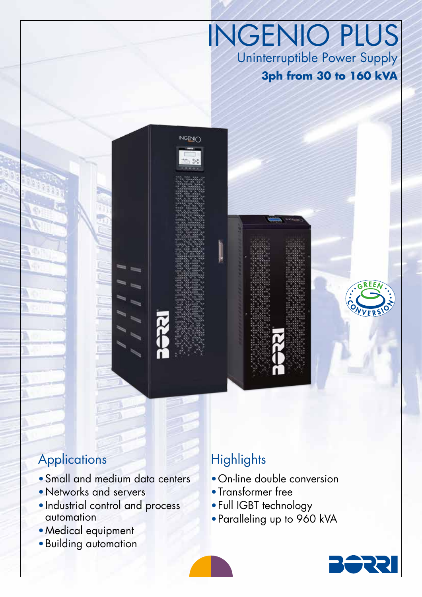INGENIO PLUS Uninterruptible Power Supply **3ph from 30 to 160 kVA**



NGENIC



- Small and medium data centers
- •Networks and servers
- •Industrial control and process automation
- •Medical equipment
- •Building automation

# **Highlights**

- •On-line double conversion
- •Transformer free
- •Full IGBT technology
- •Paralleling up to 960 kVA

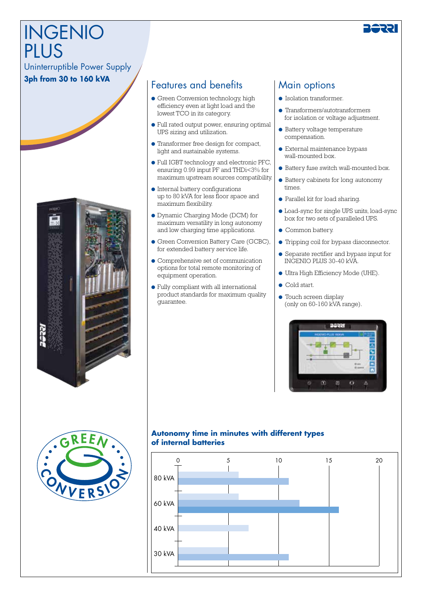# INGENIO PIUS

### Uninterruptible Power Supply

#### **3ph from 30 to 160 kVA**



## Features and benefits

- Green Conversion technology, high efficiency even at light load and the lowest TCO in its category.
- Full rated output power, ensuring optimal UPS sizing and utilization.
- Transformer free design for compact, light and sustainable systems.
- Full IGBT technology and electronic PFC, ensuring 0.99 input PF and THDi<3% for maximum upstream sources compatibility.
- Internal battery configurations up to 80 kVA for less floor space and maximum flexibility.
- Dynamic Charging Mode (DCM) for maximum versatility in long autonomy and low charging time applications.
- Green Conversion Battery Care (GCBC), for extended battery service life.
- Comprehensive set of communication options for total remote monitoring of equipment operation.
- Fully compliant with all international product standards for maximum quality guarantee.

# Main options

- Isolation transformer.
- Transformers/autotransformers for isolation or voltage adjustment.
- Battery voltage temperature compensation.
- External maintenance bypass wall-mounted box.
- Battery fuse switch wall-mounted box.
- Battery cabinets for long autonomy times.
- Parallel kit for load sharing.
- Load-sync for single UPS units, load-sync box for two sets of paralleled UPS.
- Common battery.
- Tripping coil for bypass disconnector.
- Separate rectifier and bypass input for INGENIO PLUS 30-40 kVA.
- Ultra High Efficiency Mode (UHE).
- Cold start.
- Touch screen display (only on 60-160 kVA range).





#### **Autonomy time in minutes with different types of internal batteries**

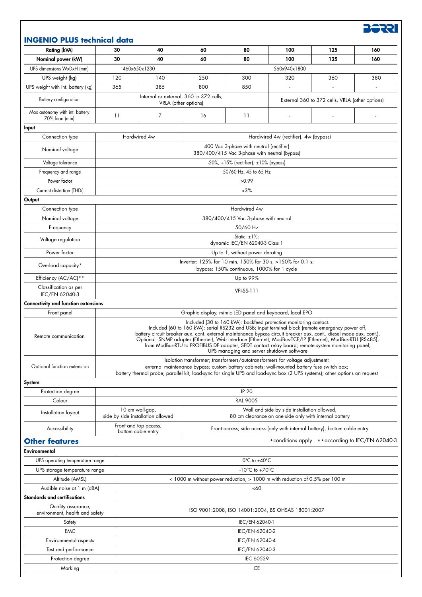**BSSE** 

#### **INGENIO PLUS technical data**

| <b>Rating (kVA)</b>                                  | 30                                                                                                                                                                                                                                                                                                                                                                                                                                                                                                                                                            | 40                                                              | 60                                                                          | 80                                | 100                                                                                                   | 125                                              | 160 |  |
|------------------------------------------------------|---------------------------------------------------------------------------------------------------------------------------------------------------------------------------------------------------------------------------------------------------------------------------------------------------------------------------------------------------------------------------------------------------------------------------------------------------------------------------------------------------------------------------------------------------------------|-----------------------------------------------------------------|-----------------------------------------------------------------------------|-----------------------------------|-------------------------------------------------------------------------------------------------------|--------------------------------------------------|-----|--|
| Nominal power (kW)                                   | 30                                                                                                                                                                                                                                                                                                                                                                                                                                                                                                                                                            | 40                                                              | 60                                                                          | 80                                | 100                                                                                                   | 125                                              | 160 |  |
| UPS dimensions WxDxH (mm)                            |                                                                                                                                                                                                                                                                                                                                                                                                                                                                                                                                                               | 460x650x1230                                                    |                                                                             | 560x940x1800                      |                                                                                                       |                                                  |     |  |
| UPS weight (kg)                                      | 120                                                                                                                                                                                                                                                                                                                                                                                                                                                                                                                                                           | 140                                                             | 250                                                                         | 300                               | 320                                                                                                   | 360                                              | 380 |  |
| UPS weight with int. battery (kg)                    | 365                                                                                                                                                                                                                                                                                                                                                                                                                                                                                                                                                           | 385                                                             | 800                                                                         | 850                               |                                                                                                       |                                                  |     |  |
| Battery configuration                                |                                                                                                                                                                                                                                                                                                                                                                                                                                                                                                                                                               | Internal or external, 360 to 372 cells,<br>VRLA (other options) |                                                                             |                                   |                                                                                                       | External 360 to 372 cells, VRLA (other options)  |     |  |
| Max autonomy with int. battery<br>70% load (min)     | 11                                                                                                                                                                                                                                                                                                                                                                                                                                                                                                                                                            | $\overline{7}$                                                  | 16                                                                          | 11                                |                                                                                                       |                                                  |     |  |
| Input                                                |                                                                                                                                                                                                                                                                                                                                                                                                                                                                                                                                                               |                                                                 |                                                                             |                                   |                                                                                                       |                                                  |     |  |
| Connection type                                      | Hardwired 4w<br>Hardwired 4w (rectifier), 4w (bypass)                                                                                                                                                                                                                                                                                                                                                                                                                                                                                                         |                                                                 |                                                                             |                                   |                                                                                                       |                                                  |     |  |
| Nominal voltage                                      | 400 Vac 3-phase with neutral (rectifier)<br>380/400/415 Vac 3-phase with neutral (bypass)                                                                                                                                                                                                                                                                                                                                                                                                                                                                     |                                                                 |                                                                             |                                   |                                                                                                       |                                                  |     |  |
| Voltage tolerance                                    | $-20\%$ , $+15\%$ (rectifier); $\pm 10\%$ (bypass)                                                                                                                                                                                                                                                                                                                                                                                                                                                                                                            |                                                                 |                                                                             |                                   |                                                                                                       |                                                  |     |  |
| Frequency and range                                  | 50/60 Hz, 45 to 65 Hz                                                                                                                                                                                                                                                                                                                                                                                                                                                                                                                                         |                                                                 |                                                                             |                                   |                                                                                                       |                                                  |     |  |
| Power factor                                         | >0.99                                                                                                                                                                                                                                                                                                                                                                                                                                                                                                                                                         |                                                                 |                                                                             |                                   |                                                                                                       |                                                  |     |  |
| Current distortion (THDi)                            | $~13\%$                                                                                                                                                                                                                                                                                                                                                                                                                                                                                                                                                       |                                                                 |                                                                             |                                   |                                                                                                       |                                                  |     |  |
| Output                                               |                                                                                                                                                                                                                                                                                                                                                                                                                                                                                                                                                               |                                                                 |                                                                             |                                   |                                                                                                       |                                                  |     |  |
| Connection type                                      |                                                                                                                                                                                                                                                                                                                                                                                                                                                                                                                                                               |                                                                 |                                                                             | Hardwired 4w                      |                                                                                                       |                                                  |     |  |
| Nominal voltage                                      | 380/400/415 Vac 3-phase with neutral                                                                                                                                                                                                                                                                                                                                                                                                                                                                                                                          |                                                                 |                                                                             |                                   |                                                                                                       |                                                  |     |  |
| Frequency                                            | 50/60 Hz                                                                                                                                                                                                                                                                                                                                                                                                                                                                                                                                                      |                                                                 |                                                                             |                                   |                                                                                                       |                                                  |     |  |
| Voltage regulation                                   | Static: $\pm$ 1%;<br>dynamic IEC/EN 62040-3 Class 1                                                                                                                                                                                                                                                                                                                                                                                                                                                                                                           |                                                                 |                                                                             |                                   |                                                                                                       |                                                  |     |  |
| Power factor                                         | Up to 1, without power derating                                                                                                                                                                                                                                                                                                                                                                                                                                                                                                                               |                                                                 |                                                                             |                                   |                                                                                                       |                                                  |     |  |
| Overload capacity*                                   | Inverter: 125% for 10 min, 150% for 30 s, >150% for 0.1 s;<br>bypass: 150% continuous, 1000% for 1 cycle                                                                                                                                                                                                                                                                                                                                                                                                                                                      |                                                                 |                                                                             |                                   |                                                                                                       |                                                  |     |  |
| Efficiency (AC/AC)**                                 |                                                                                                                                                                                                                                                                                                                                                                                                                                                                                                                                                               |                                                                 |                                                                             |                                   |                                                                                                       |                                                  |     |  |
| Classification as per                                | Up to 99%                                                                                                                                                                                                                                                                                                                                                                                                                                                                                                                                                     |                                                                 |                                                                             |                                   |                                                                                                       |                                                  |     |  |
| IEC/EN 62040-3                                       | <b>VFI-SS-111</b>                                                                                                                                                                                                                                                                                                                                                                                                                                                                                                                                             |                                                                 |                                                                             |                                   |                                                                                                       |                                                  |     |  |
| <b>Connectivity and function extensions</b>          |                                                                                                                                                                                                                                                                                                                                                                                                                                                                                                                                                               |                                                                 |                                                                             |                                   |                                                                                                       |                                                  |     |  |
| Front panel                                          | Graphic display, mimic LED panel and keyboard, local EPO                                                                                                                                                                                                                                                                                                                                                                                                                                                                                                      |                                                                 |                                                                             |                                   |                                                                                                       |                                                  |     |  |
| Remote communication                                 | Included (30 to 160 kVA): backfeed protection monitoring contact.<br>Included (60 to 160 kVA): serial RS232 and USB; input terminal block (remote emergency power off,<br>battery circuit breaker aux. cont. external maintenance bypass circuit breaker aux. cont., diesel mode aux. cont.).<br>Optional: SNMP adapter (Ethernet), Web interface (Ethernet), ModBus-TCP/IP (Ethernet), ModBus-RTU (RS485),<br>from ModBus-RTU to PROFIBUS DP adapter; SPDT contact relay board; remote system monitoring panel;<br>UPS managing and server shutdown software |                                                                 |                                                                             |                                   |                                                                                                       |                                                  |     |  |
| Optional function extension                          | Isolation transformer; transformers/autotransformers for voltage adjustment;<br>external maintenance bypass; custom battery cabinets; wall-mounted battery fuse switch box;<br>battery thermal probe; parallel kit, load-sync for single UPS and load-sync box (2 UPS systems); other options on request                                                                                                                                                                                                                                                      |                                                                 |                                                                             |                                   |                                                                                                       |                                                  |     |  |
| System                                               |                                                                                                                                                                                                                                                                                                                                                                                                                                                                                                                                                               |                                                                 |                                                                             |                                   |                                                                                                       |                                                  |     |  |
| Protection degree                                    | <b>IP 20</b>                                                                                                                                                                                                                                                                                                                                                                                                                                                                                                                                                  |                                                                 |                                                                             |                                   |                                                                                                       |                                                  |     |  |
| Colour                                               | <b>RAL 9005</b>                                                                                                                                                                                                                                                                                                                                                                                                                                                                                                                                               |                                                                 |                                                                             |                                   |                                                                                                       |                                                  |     |  |
| Installation layout                                  |                                                                                                                                                                                                                                                                                                                                                                                                                                                                                                                                                               | 10 cm wall-gap,<br>side by side installation allowed            |                                                                             |                                   | Wall and side by side installation allowed,<br>80 cm clearance on one side only with internal battery |                                                  |     |  |
| Accessibility                                        |                                                                                                                                                                                                                                                                                                                                                                                                                                                                                                                                                               | Front and top access,<br>bottom cable entry                     |                                                                             |                                   | Front access, side access (only with internal battery), bottom cable entry                            |                                                  |     |  |
| <b>Other features</b>                                |                                                                                                                                                                                                                                                                                                                                                                                                                                                                                                                                                               |                                                                 |                                                                             |                                   |                                                                                                       | *conditions apply ** according to IEC/EN 62040-3 |     |  |
| Environmental                                        |                                                                                                                                                                                                                                                                                                                                                                                                                                                                                                                                                               |                                                                 |                                                                             |                                   |                                                                                                       |                                                  |     |  |
| UPS operating temperature range                      |                                                                                                                                                                                                                                                                                                                                                                                                                                                                                                                                                               |                                                                 |                                                                             | $0^{\circ}$ C to +40 $^{\circ}$ C |                                                                                                       |                                                  |     |  |
| UPS storage temperature range                        |                                                                                                                                                                                                                                                                                                                                                                                                                                                                                                                                                               |                                                                 | $-10^{\circ}$ C to $+70^{\circ}$ C                                          |                                   |                                                                                                       |                                                  |     |  |
| Altitude (AMSL)                                      |                                                                                                                                                                                                                                                                                                                                                                                                                                                                                                                                                               |                                                                 | < 1000 m without power reduction, > 1000 m with reduction of 0.5% per 100 m |                                   |                                                                                                       |                                                  |     |  |
| Audible noise at 1 m (dBA)                           |                                                                                                                                                                                                                                                                                                                                                                                                                                                                                                                                                               |                                                                 | <60                                                                         |                                   |                                                                                                       |                                                  |     |  |
| Standards and certifications                         |                                                                                                                                                                                                                                                                                                                                                                                                                                                                                                                                                               |                                                                 |                                                                             |                                   |                                                                                                       |                                                  |     |  |
| Quality assurance,<br>environment, health and safety |                                                                                                                                                                                                                                                                                                                                                                                                                                                                                                                                                               |                                                                 | ISO 9001:2008, ISO 14001:2004, BS OHSAS 18001:2007                          |                                   |                                                                                                       |                                                  |     |  |
| Safety                                               |                                                                                                                                                                                                                                                                                                                                                                                                                                                                                                                                                               | IEC/EN 62040-1                                                  |                                                                             |                                   |                                                                                                       |                                                  |     |  |
| <b>EMC</b>                                           |                                                                                                                                                                                                                                                                                                                                                                                                                                                                                                                                                               |                                                                 | IEC/EN 62040-2                                                              |                                   |                                                                                                       |                                                  |     |  |
| Environmental aspects                                |                                                                                                                                                                                                                                                                                                                                                                                                                                                                                                                                                               | IEC/EN 62040-4                                                  |                                                                             |                                   |                                                                                                       |                                                  |     |  |
| Test and performance                                 |                                                                                                                                                                                                                                                                                                                                                                                                                                                                                                                                                               | IEC/EN 62040-3                                                  |                                                                             |                                   |                                                                                                       |                                                  |     |  |
| Protection degree                                    |                                                                                                                                                                                                                                                                                                                                                                                                                                                                                                                                                               | IEC 60529                                                       |                                                                             |                                   |                                                                                                       |                                                  |     |  |
| Marking                                              |                                                                                                                                                                                                                                                                                                                                                                                                                                                                                                                                                               | <b>CE</b>                                                       |                                                                             |                                   |                                                                                                       |                                                  |     |  |